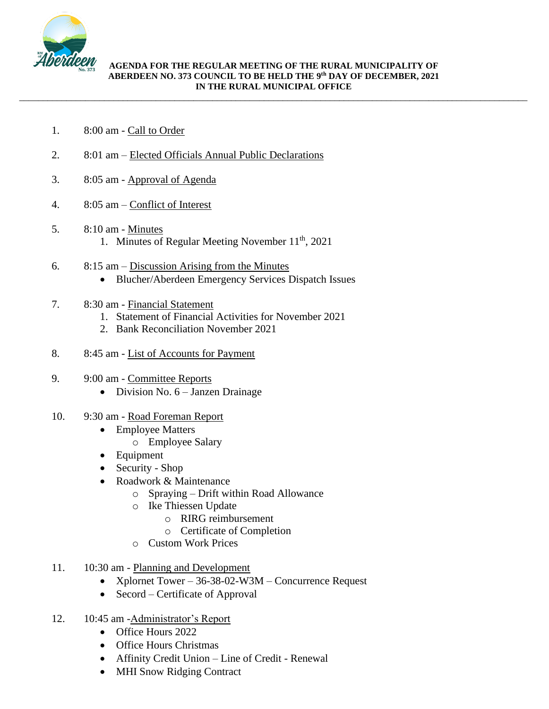

\_\_\_\_\_\_\_\_\_\_\_\_\_\_\_\_\_\_\_\_\_\_\_\_\_\_\_\_\_\_\_\_\_\_\_\_\_\_\_\_\_\_\_\_\_\_\_\_\_\_\_\_\_\_\_\_\_\_\_\_\_\_\_\_\_\_\_\_\_\_\_\_\_\_\_\_\_\_\_\_\_\_\_\_\_\_\_\_\_\_\_\_\_\_\_\_\_\_\_\_\_\_\_\_\_\_\_\_

- 1. 8:00 am Call to Order
- 2. 8:01 am Elected Officials Annual Public Declarations
- 3. 8:05 am Approval of Agenda
- 4. 8:05 am Conflict of Interest
- 5. 8:10 am Minutes 1. Minutes of Regular Meeting November 11<sup>th</sup>, 2021
- 6. 8:15 am Discussion Arising from the Minutes
	- Blucher/Aberdeen Emergency Services Dispatch Issues
- 7. 8:30 am Financial Statement
	- 1. Statement of Financial Activities for November 2021
	- 2. Bank Reconciliation November 2021
- 8. 8:45 am List of Accounts for Payment
- 9. 9:00 am Committee Reports
	- Division No. 6 Janzen Drainage
- 10. 9:30 am Road Foreman Report
	- Employee Matters
		- o Employee Salary
	- Equipment
	- Security Shop
	- Roadwork & Maintenance
		- o Spraying Drift within Road Allowance
		- o Ike Thiessen Update
			- o RIRG reimbursement
			- o Certificate of Completion
		- o Custom Work Prices
- 11. 10:30 am Planning and Development
	- Xplornet Tower 36-38-02-W3M Concurrence Request
	- Secord Certificate of Approval
- 12. 10:45 am -Administrator's Report
	- Office Hours 2022
	- Office Hours Christmas
	- Affinity Credit Union Line of Credit Renewal
	- MHI Snow Ridging Contract